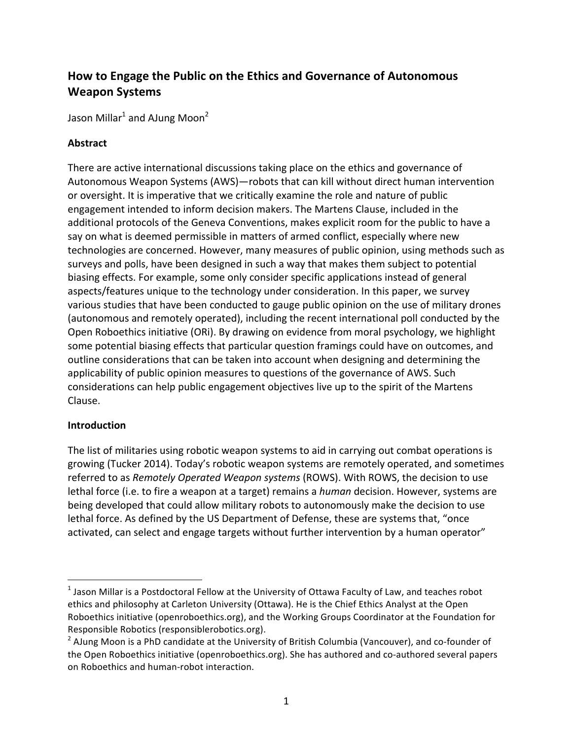# How to Engage the Public on the Ethics and Governance of Autonomous **Weapon Systems**

Jason Millar<sup>1</sup> and AJung Moon<sup>2</sup>

## **Abstract**

There are active international discussions taking place on the ethics and governance of Autonomous Weapon Systems (AWS)—robots that can kill without direct human intervention or oversight. It is imperative that we critically examine the role and nature of public engagement intended to inform decision makers. The Martens Clause, included in the additional protocols of the Geneva Conventions, makes explicit room for the public to have a say on what is deemed permissible in matters of armed conflict, especially where new technologies are concerned. However, many measures of public opinion, using methods such as surveys and polls, have been designed in such a way that makes them subject to potential biasing effects. For example, some only consider specific applications instead of general aspects/features unique to the technology under consideration. In this paper, we survey various studies that have been conducted to gauge public opinion on the use of military drones (autonomous and remotely operated), including the recent international poll conducted by the Open Roboethics initiative (ORi). By drawing on evidence from moral psychology, we highlight some potential biasing effects that particular question framings could have on outcomes, and outline considerations that can be taken into account when designing and determining the applicability of public opinion measures to questions of the governance of AWS. Such considerations can help public engagement objectives live up to the spirit of the Martens Clause.

#### **Introduction**

 

The list of militaries using robotic weapon systems to aid in carrying out combat operations is growing (Tucker 2014). Today's robotic weapon systems are remotely operated, and sometimes referred to as *Remotely Operated Weapon systems* (ROWS). With ROWS, the decision to use lethal force (i.e. to fire a weapon at a target) remains a *human* decision. However, systems are being developed that could allow military robots to autonomously make the decision to use lethal force. As defined by the US Department of Defense, these are systems that, "once activated, can select and engage targets without further intervention by a human operator"

 $<sup>1</sup>$  Jason Millar is a Postdoctoral Fellow at the University of Ottawa Faculty of Law, and teaches robot</sup> ethics and philosophy at Carleton University (Ottawa). He is the Chief Ethics Analyst at the Open Roboethics initiative (openroboethics.org), and the Working Groups Coordinator at the Foundation for Responsible Robotics (responsiblerobotics.org).

 $2$  AJung Moon is a PhD candidate at the University of British Columbia (Vancouver), and co-founder of the Open Roboethics initiative (openroboethics.org). She has authored and co-authored several papers on Roboethics and human-robot interaction.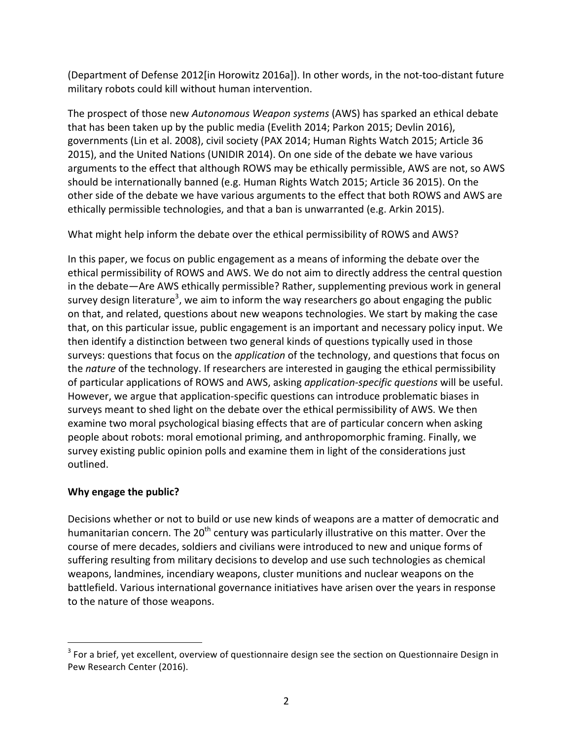(Department of Defense 2012[in Horowitz 2016a]). In other words, in the not-too-distant future military robots could kill without human intervention.

The prospect of those new *Autonomous Weapon systems* (AWS) has sparked an ethical debate that has been taken up by the public media (Evelith 2014; Parkon 2015; Devlin 2016), governments (Lin et al. 2008), civil society (PAX 2014; Human Rights Watch 2015; Article 36 2015), and the United Nations (UNIDIR 2014). On one side of the debate we have various arguments to the effect that although ROWS may be ethically permissible, AWS are not, so AWS should be internationally banned (e.g. Human Rights Watch 2015; Article 36 2015). On the other side of the debate we have various arguments to the effect that both ROWS and AWS are ethically permissible technologies, and that a ban is unwarranted (e.g. Arkin 2015).

What might help inform the debate over the ethical permissibility of ROWS and AWS?

In this paper, we focus on public engagement as a means of informing the debate over the ethical permissibility of ROWS and AWS. We do not aim to directly address the central question in the debate—Are AWS ethically permissible? Rather, supplementing previous work in general survey design literature<sup>3</sup>, we aim to inform the way researchers go about engaging the public on that, and related, questions about new weapons technologies. We start by making the case that, on this particular issue, public engagement is an important and necessary policy input. We then identify a distinction between two general kinds of questions typically used in those surveys: questions that focus on the *application* of the technology, and questions that focus on the *nature* of the technology. If researchers are interested in gauging the ethical permissibility of particular applications of ROWS and AWS, asking *application-specific questions* will be useful. However, we argue that application-specific questions can introduce problematic biases in surveys meant to shed light on the debate over the ethical permissibility of AWS. We then examine two moral psychological biasing effects that are of particular concern when asking people about robots: moral emotional priming, and anthropomorphic framing. Finally, we survey existing public opinion polls and examine them in light of the considerations just outlined.

## **Why engage the public?**

 

Decisions whether or not to build or use new kinds of weapons are a matter of democratic and humanitarian concern. The 20<sup>th</sup> century was particularly illustrative on this matter. Over the course of mere decades, soldiers and civilians were introduced to new and unique forms of suffering resulting from military decisions to develop and use such technologies as chemical weapons, landmines, incendiary weapons, cluster munitions and nuclear weapons on the battlefield. Various international governance initiatives have arisen over the years in response to the nature of those weapons.

 $3$  For a brief, yet excellent, overview of questionnaire design see the section on Questionnaire Design in Pew Research Center (2016).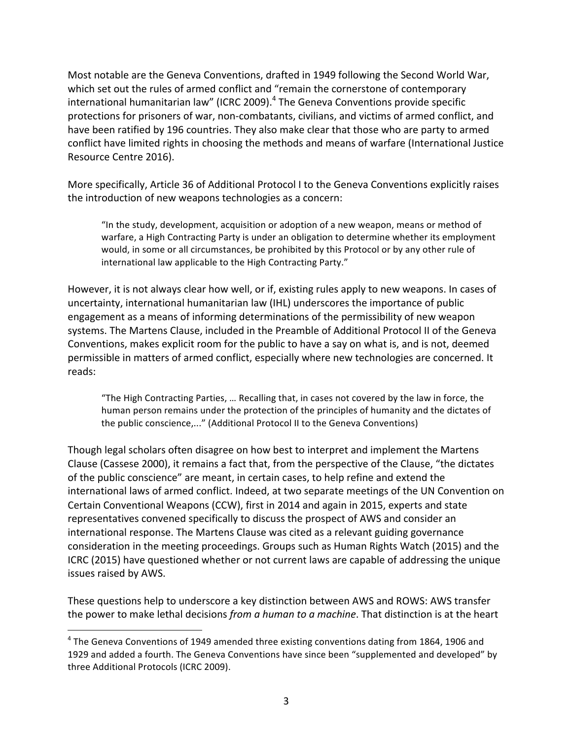Most notable are the Geneva Conventions, drafted in 1949 following the Second World War, which set out the rules of armed conflict and "remain the cornerstone of contemporary international humanitarian law" (ICRC 2009). $^4$  The Geneva Conventions provide specific protections for prisoners of war, non-combatants, civilians, and victims of armed conflict, and have been ratified by 196 countries. They also make clear that those who are party to armed conflict have limited rights in choosing the methods and means of warfare (International Justice Resource Centre 2016).

More specifically, Article 36 of Additional Protocol I to the Geneva Conventions explicitly raises the introduction of new weapons technologies as a concern:

"In the study, development, acquisition or adoption of a new weapon, means or method of warfare, a High Contracting Party is under an obligation to determine whether its employment would, in some or all circumstances, be prohibited by this Protocol or by any other rule of international law applicable to the High Contracting Party."

However, it is not always clear how well, or if, existing rules apply to new weapons. In cases of uncertainty, international humanitarian law (IHL) underscores the importance of public engagement as a means of informing determinations of the permissibility of new weapon systems. The Martens Clause, included in the Preamble of Additional Protocol II of the Geneva Conventions, makes explicit room for the public to have a say on what is, and is not, deemed permissible in matters of armed conflict, especially where new technologies are concerned. It reads: 

"The High Contracting Parties, ... Recalling that, in cases not covered by the law in force, the human person remains under the protection of the principles of humanity and the dictates of the public conscience,..." (Additional Protocol II to the Geneva Conventions)

Though legal scholars often disagree on how best to interpret and implement the Martens Clause (Cassese 2000), it remains a fact that, from the perspective of the Clause, "the dictates of the public conscience" are meant, in certain cases, to help refine and extend the international laws of armed conflict. Indeed, at two separate meetings of the UN Convention on Certain Conventional Weapons (CCW), first in 2014 and again in 2015, experts and state representatives convened specifically to discuss the prospect of AWS and consider an international response. The Martens Clause was cited as a relevant guiding governance consideration in the meeting proceedings. Groups such as Human Rights Watch (2015) and the ICRC (2015) have questioned whether or not current laws are capable of addressing the unique issues raised by AWS.

These questions help to underscore a key distinction between AWS and ROWS: AWS transfer the power to make lethal decisions *from a human to a machine*. That distinction is at the heart

 

 $4$  The Geneva Conventions of 1949 amended three existing conventions dating from 1864, 1906 and 1929 and added a fourth. The Geneva Conventions have since been "supplemented and developed" by three Additional Protocols (ICRC 2009).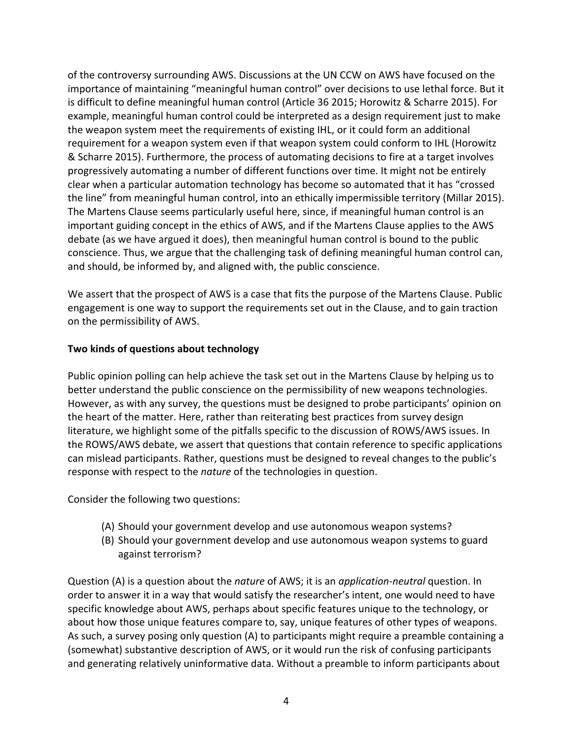of the controversy surrounding AWS. Discussions at the UN CCW on AWS have focused on the importance of maintaining "meaningful human control" over decisions to use lethal force. But it is difficult to define meaningful human control (Article 36 2015; Horowitz & Scharre 2015). For example, meaningful human control could be interpreted as a design requirement just to make the weapon system meet the requirements of existing IHL, or it could form an additional requirement for a weapon system even if that weapon system could conform to IHL (Horowitz & Scharre 2015). Furthermore, the process of automating decisions to fire at a target involves progressively automating a number of different functions over time. It might not be entirely clear when a particular automation technology has become so automated that it has "crossed the line" from meaningful human control, into an ethically impermissible territory (Millar 2015). The Martens Clause seems particularly useful here, since, if meaningful human control is an important guiding concept in the ethics of AWS, and if the Martens Clause applies to the AWS debate (as we have argued it does), then meaningful human control is bound to the public conscience. Thus, we argue that the challenging task of defining meaningful human control can, and should, be informed by, and aligned with, the public conscience.

We assert that the prospect of AWS is a case that fits the purpose of the Martens Clause. Public engagement is one way to support the requirements set out in the Clause, and to gain traction on the permissibility of AWS.

## **Two kinds of questions about technology**

Public opinion polling can help achieve the task set out in the Martens Clause by helping us to better understand the public conscience on the permissibility of new weapons technologies. However, as with any survey, the questions must be designed to probe participants' opinion on the heart of the matter. Here, rather than reiterating best practices from survey design literature, we highlight some of the pitfalls specific to the discussion of ROWS/AWS issues. In the ROWS/AWS debate, we assert that questions that contain reference to specific applications can mislead participants. Rather, questions must be designed to reveal changes to the public's response with respect to the *nature* of the technologies in question.

Consider the following two questions:

- (A) Should your government develop and use autonomous weapon systems?
- (B) Should your government develop and use autonomous weapon systems to guard against terrorism?

Question (A) is a question about the *nature* of AWS; it is an *application-neutral* question. In order to answer it in a way that would satisfy the researcher's intent, one would need to have specific knowledge about AWS, perhaps about specific features unique to the technology, or about how those unique features compare to, say, unique features of other types of weapons. As such, a survey posing only question (A) to participants might require a preamble containing a (somewhat) substantive description of AWS, or it would run the risk of confusing participants and generating relatively uninformative data. Without a preamble to inform participants about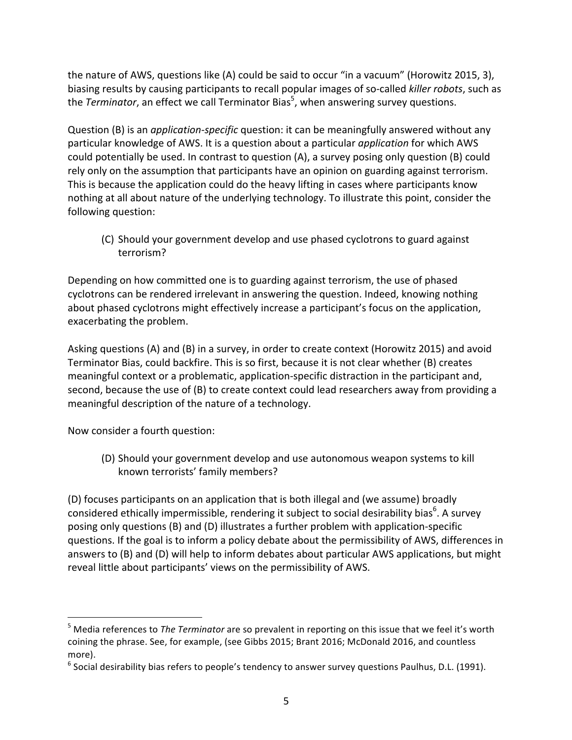the nature of AWS, questions like (A) could be said to occur "in a vacuum" (Horowitz 2015, 3), biasing results by causing participants to recall popular images of so-called *killer robots*, such as the *Terminator*, an effect we call Terminator Bias<sup>5</sup>, when answering survey questions.

Question (B) is an *application-specific* question: it can be meaningfully answered without any particular knowledge of AWS. It is a question about a particular *application* for which AWS could potentially be used. In contrast to question (A), a survey posing only question (B) could rely only on the assumption that participants have an opinion on guarding against terrorism. This is because the application could do the heavy lifting in cases where participants know nothing at all about nature of the underlying technology. To illustrate this point, consider the following question:

(C) Should your government develop and use phased cyclotrons to guard against terrorism?

Depending on how committed one is to guarding against terrorism, the use of phased cyclotrons can be rendered irrelevant in answering the question. Indeed, knowing nothing about phased cyclotrons might effectively increase a participant's focus on the application, exacerbating the problem.

Asking questions (A) and (B) in a survey, in order to create context (Horowitz 2015) and avoid Terminator Bias, could backfire. This is so first, because it is not clear whether (B) creates meaningful context or a problematic, application-specific distraction in the participant and, second, because the use of (B) to create context could lead researchers away from providing a meaningful description of the nature of a technology.

Now consider a fourth question:

 

(D) Should your government develop and use autonomous weapon systems to kill known terrorists' family members?

(D) focuses participants on an application that is both illegal and (we assume) broadly considered ethically impermissible, rendering it subject to social desirability bias $^6$ . A survey posing only questions (B) and (D) illustrates a further problem with application-specific questions. If the goal is to inform a policy debate about the permissibility of AWS, differences in answers to  $(B)$  and  $(D)$  will help to inform debates about particular AWS applications, but might reveal little about participants' views on the permissibility of AWS.

<sup>&</sup>lt;sup>5</sup> Media references to *The Terminator* are so prevalent in reporting on this issue that we feel it's worth coining the phrase. See, for example, (see Gibbs 2015; Brant 2016; McDonald 2016, and countless more).

<sup>&</sup>lt;sup>6</sup> Social desirability bias refers to people's tendency to answer survey questions Paulhus, D.L. (1991).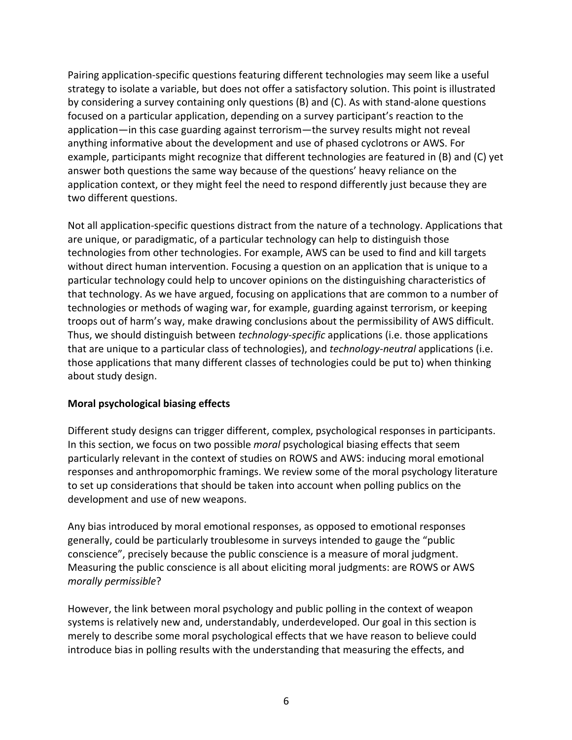Pairing application-specific questions featuring different technologies may seem like a useful strategy to isolate a variable, but does not offer a satisfactory solution. This point is illustrated by considering a survey containing only questions  $(B)$  and  $(C)$ . As with stand-alone questions focused on a particular application, depending on a survey participant's reaction to the application—in this case guarding against terrorism—the survey results might not reveal anything informative about the development and use of phased cyclotrons or AWS. For example, participants might recognize that different technologies are featured in (B) and (C) yet answer both questions the same way because of the questions' heavy reliance on the application context, or they might feel the need to respond differently just because they are two different questions.

Not all application-specific questions distract from the nature of a technology. Applications that are unique, or paradigmatic, of a particular technology can help to distinguish those technologies from other technologies. For example, AWS can be used to find and kill targets without direct human intervention. Focusing a question on an application that is unique to a particular technology could help to uncover opinions on the distinguishing characteristics of that technology. As we have argued, focusing on applications that are common to a number of technologies or methods of waging war, for example, guarding against terrorism, or keeping troops out of harm's way, make drawing conclusions about the permissibility of AWS difficult. Thus, we should distinguish between *technology-specific* applications (i.e. those applications that are unique to a particular class of technologies), and *technology-neutral* applications (i.e. those applications that many different classes of technologies could be put to) when thinking about study design.

## **Moral psychological biasing effects**

Different study designs can trigger different, complex, psychological responses in participants. In this section, we focus on two possible *moral* psychological biasing effects that seem particularly relevant in the context of studies on ROWS and AWS: inducing moral emotional responses and anthropomorphic framings. We review some of the moral psychology literature to set up considerations that should be taken into account when polling publics on the development and use of new weapons.

Any bias introduced by moral emotional responses, as opposed to emotional responses generally, could be particularly troublesome in surveys intended to gauge the "public conscience", precisely because the public conscience is a measure of moral judgment. Measuring the public conscience is all about eliciting moral judgments: are ROWS or AWS *morally permissible*?

However, the link between moral psychology and public polling in the context of weapon systems is relatively new and, understandably, underdeveloped. Our goal in this section is merely to describe some moral psychological effects that we have reason to believe could introduce bias in polling results with the understanding that measuring the effects, and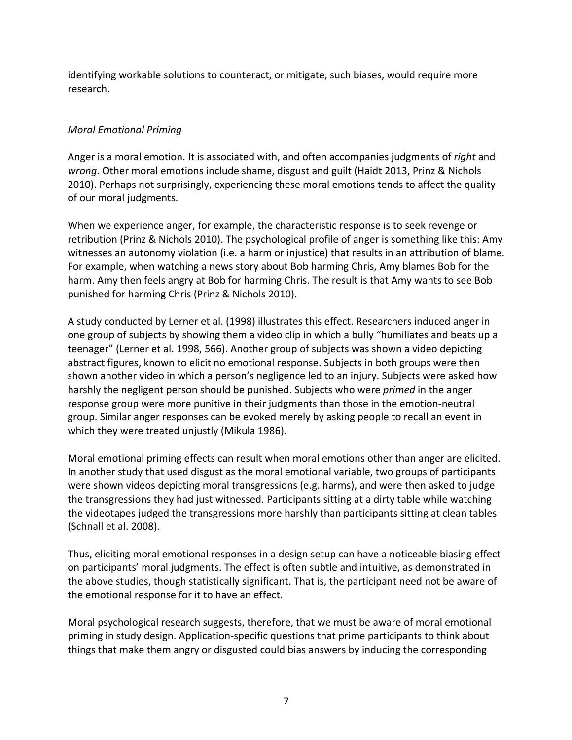identifying workable solutions to counteract, or mitigate, such biases, would require more research.

# *Moral Emotional Priming*

Anger is a moral emotion. It is associated with, and often accompanies judgments of *right* and *wrong*. Other moral emotions include shame, disgust and guilt (Haidt 2013, Prinz & Nichols 2010). Perhaps not surprisingly, experiencing these moral emotions tends to affect the quality of our moral judgments.

When we experience anger, for example, the characteristic response is to seek revenge or retribution (Prinz & Nichols 2010). The psychological profile of anger is something like this: Amy witnesses an autonomy violation (i.e. a harm or injustice) that results in an attribution of blame. For example, when watching a news story about Bob harming Chris, Amy blames Bob for the harm. Amy then feels angry at Bob for harming Chris. The result is that Amy wants to see Bob punished for harming Chris (Prinz & Nichols 2010).

A study conducted by Lerner et al. (1998) illustrates this effect. Researchers induced anger in one group of subjects by showing them a video clip in which a bully "humiliates and beats up a teenager" (Lerner et al. 1998, 566). Another group of subjects was shown a video depicting abstract figures, known to elicit no emotional response. Subjects in both groups were then shown another video in which a person's negligence led to an injury. Subjects were asked how harshly the negligent person should be punished. Subjects who were *primed* in the anger response group were more punitive in their judgments than those in the emotion-neutral group. Similar anger responses can be evoked merely by asking people to recall an event in which they were treated unjustly (Mikula 1986).

Moral emotional priming effects can result when moral emotions other than anger are elicited. In another study that used disgust as the moral emotional variable, two groups of participants were shown videos depicting moral transgressions (e.g. harms), and were then asked to judge the transgressions they had just witnessed. Participants sitting at a dirty table while watching the videotapes judged the transgressions more harshly than participants sitting at clean tables (Schnall et al. 2008).

Thus, eliciting moral emotional responses in a design setup can have a noticeable biasing effect on participants' moral judgments. The effect is often subtle and intuitive, as demonstrated in the above studies, though statistically significant. That is, the participant need not be aware of the emotional response for it to have an effect.

Moral psychological research suggests, therefore, that we must be aware of moral emotional priming in study design. Application-specific questions that prime participants to think about things that make them angry or disgusted could bias answers by inducing the corresponding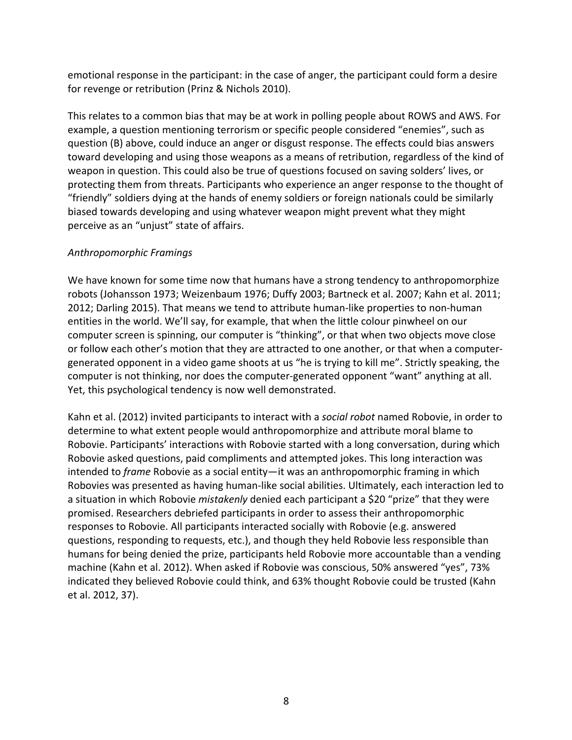emotional response in the participant: in the case of anger, the participant could form a desire for revenge or retribution (Prinz & Nichols 2010).

This relates to a common bias that may be at work in polling people about ROWS and AWS. For example, a question mentioning terrorism or specific people considered "enemies", such as question (B) above, could induce an anger or disgust response. The effects could bias answers toward developing and using those weapons as a means of retribution, regardless of the kind of weapon in question. This could also be true of questions focused on saving solders' lives, or protecting them from threats. Participants who experience an anger response to the thought of "friendly" soldiers dying at the hands of enemy soldiers or foreign nationals could be similarly biased towards developing and using whatever weapon might prevent what they might perceive as an "unjust" state of affairs.

#### *Anthropomorphic Framings*

We have known for some time now that humans have a strong tendency to anthropomorphize robots (Johansson 1973; Weizenbaum 1976; Duffy 2003; Bartneck et al. 2007; Kahn et al. 2011; 2012; Darling 2015). That means we tend to attribute human-like properties to non-human entities in the world. We'll say, for example, that when the little colour pinwheel on our computer screen is spinning, our computer is "thinking", or that when two objects move close or follow each other's motion that they are attracted to one another, or that when a computergenerated opponent in a video game shoots at us "he is trying to kill me". Strictly speaking, the computer is not thinking, nor does the computer-generated opponent "want" anything at all. Yet, this psychological tendency is now well demonstrated.

Kahn et al. (2012) invited participants to interact with a *social robot* named Robovie, in order to determine to what extent people would anthropomorphize and attribute moral blame to Robovie. Participants' interactions with Robovie started with a long conversation, during which Robovie asked questions, paid compliments and attempted jokes. This long interaction was intended to *frame* Robovie as a social entity—it was an anthropomorphic framing in which Robovies was presented as having human-like social abilities. Ultimately, each interaction led to a situation in which Robovie *mistakenly* denied each participant a \$20 "prize" that they were promised. Researchers debriefed participants in order to assess their anthropomorphic responses to Robovie. All participants interacted socially with Robovie (e.g. answered questions, responding to requests, etc.), and though they held Robovie less responsible than humans for being denied the prize, participants held Robovie more accountable than a vending machine (Kahn et al. 2012). When asked if Robovie was conscious, 50% answered "yes", 73% indicated they believed Robovie could think, and 63% thought Robovie could be trusted (Kahn et al. 2012, 37).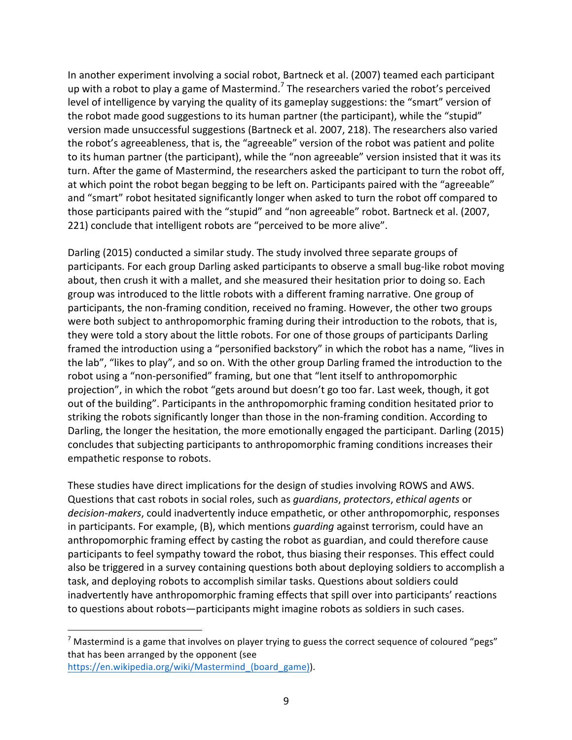In another experiment involving a social robot, Bartneck et al. (2007) teamed each participant up with a robot to play a game of Mastermind.<sup>7</sup> The researchers varied the robot's perceived level of intelligence by varying the quality of its gameplay suggestions: the "smart" version of the robot made good suggestions to its human partner (the participant), while the "stupid" version made unsuccessful suggestions (Bartneck et al. 2007, 218). The researchers also varied the robot's agreeableness, that is, the "agreeable" version of the robot was patient and polite to its human partner (the participant), while the "non agreeable" version insisted that it was its turn. After the game of Mastermind, the researchers asked the participant to turn the robot off, at which point the robot began begging to be left on. Participants paired with the "agreeable" and "smart" robot hesitated significantly longer when asked to turn the robot off compared to those participants paired with the "stupid" and "non agreeable" robot. Bartneck et al. (2007, 221) conclude that intelligent robots are "perceived to be more alive".

Darling (2015) conducted a similar study. The study involved three separate groups of participants. For each group Darling asked participants to observe a small bug-like robot moving about, then crush it with a mallet, and she measured their hesitation prior to doing so. Each group was introduced to the little robots with a different framing narrative. One group of participants, the non-framing condition, received no framing. However, the other two groups were both subject to anthropomorphic framing during their introduction to the robots, that is, they were told a story about the little robots. For one of those groups of participants Darling framed the introduction using a "personified backstory" in which the robot has a name, "lives in the lab", "likes to play", and so on. With the other group Darling framed the introduction to the robot using a "non-personified" framing, but one that "lent itself to anthropomorphic projection", in which the robot "gets around but doesn't go too far. Last week, though, it got out of the building". Participants in the anthropomorphic framing condition hesitated prior to striking the robots significantly longer than those in the non-framing condition. According to Darling, the longer the hesitation, the more emotionally engaged the participant. Darling (2015) concludes that subjecting participants to anthropomorphic framing conditions increases their empathetic response to robots.

These studies have direct implications for the design of studies involving ROWS and AWS. Questions that cast robots in social roles, such as *guardians*, *protectors*, *ethical agents* or decision-makers, could inadvertently induce empathetic, or other anthropomorphic, responses in participants. For example, (B), which mentions *quarding* against terrorism, could have an anthropomorphic framing effect by casting the robot as guardian, and could therefore cause participants to feel sympathy toward the robot, thus biasing their responses. This effect could also be triggered in a survey containing questions both about deploying soldiers to accomplish a task, and deploying robots to accomplish similar tasks. Questions about soldiers could inadvertently have anthropomorphic framing effects that spill over into participants' reactions to questions about robots—participants might imagine robots as soldiers in such cases.

 $<sup>7</sup>$  Mastermind is a game that involves on player trying to guess the correct sequence of coloured "pegs"</sup> that has been arranged by the opponent (see https://en.wikipedia.org/wiki/Mastermind\_(board\_game)).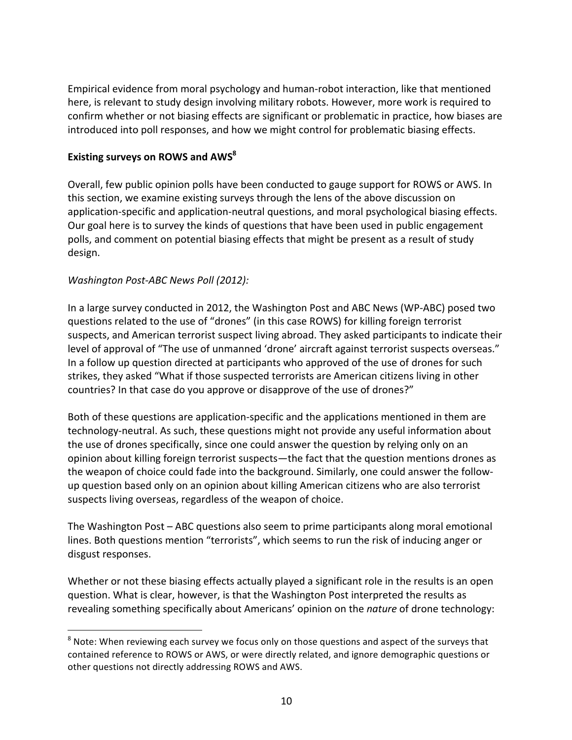Empirical evidence from moral psychology and human-robot interaction, like that mentioned here, is relevant to study design involving military robots. However, more work is required to confirm whether or not biasing effects are significant or problematic in practice, how biases are introduced into poll responses, and how we might control for problematic biasing effects.

#### **Existing surveys on ROWS and AWS**<sup>8</sup>

Overall, few public opinion polls have been conducted to gauge support for ROWS or AWS. In this section, we examine existing surveys through the lens of the above discussion on application-specific and application-neutral questions, and moral psychological biasing effects. Our goal here is to survey the kinds of questions that have been used in public engagement polls, and comment on potential biasing effects that might be present as a result of study design.

#### *Washington Post-ABC News Poll (2012):*

 

In a large survey conducted in 2012, the Washington Post and ABC News (WP-ABC) posed two questions related to the use of "drones" (in this case ROWS) for killing foreign terrorist suspects, and American terrorist suspect living abroad. They asked participants to indicate their level of approval of "The use of unmanned 'drone' aircraft against terrorist suspects overseas." In a follow up question directed at participants who approved of the use of drones for such strikes, they asked "What if those suspected terrorists are American citizens living in other countries? In that case do you approve or disapprove of the use of drones?"

Both of these questions are application-specific and the applications mentioned in them are technology-neutral. As such, these questions might not provide any useful information about the use of drones specifically, since one could answer the question by relying only on an opinion about killing foreign terrorist suspects—the fact that the question mentions drones as the weapon of choice could fade into the background. Similarly, one could answer the followup question based only on an opinion about killing American citizens who are also terrorist suspects living overseas, regardless of the weapon of choice.

The Washington Post – ABC questions also seem to prime participants along moral emotional lines. Both questions mention "terrorists", which seems to run the risk of inducing anger or disgust responses.

Whether or not these biasing effects actually played a significant role in the results is an open question. What is clear, however, is that the Washington Post interpreted the results as revealing something specifically about Americans' opinion on the *nature* of drone technology:

 $8$  Note: When reviewing each survey we focus only on those questions and aspect of the surveys that contained reference to ROWS or AWS, or were directly related, and ignore demographic questions or other questions not directly addressing ROWS and AWS.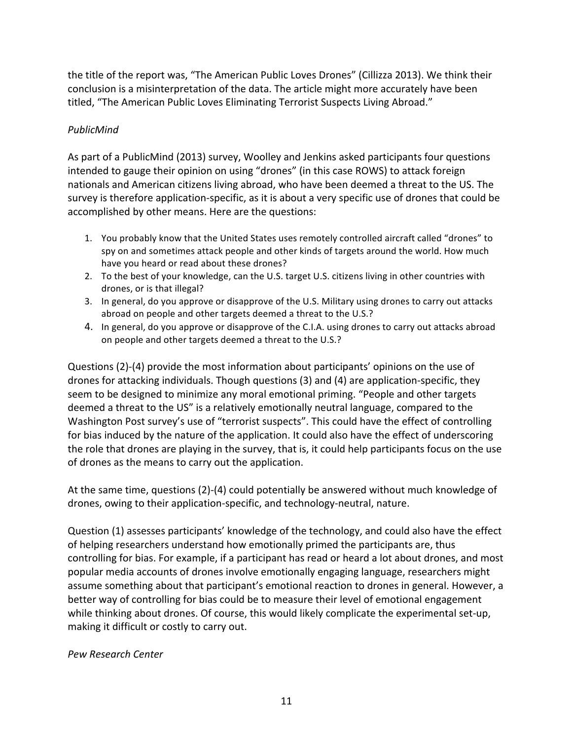the title of the report was, "The American Public Loves Drones" (Cillizza 2013). We think their conclusion is a misinterpretation of the data. The article might more accurately have been titled, "The American Public Loves Eliminating Terrorist Suspects Living Abroad."

# *PublicMind*

As part of a PublicMind (2013) survey, Woolley and Jenkins asked participants four questions intended to gauge their opinion on using "drones" (in this case ROWS) to attack foreign nationals and American citizens living abroad, who have been deemed a threat to the US. The survey is therefore application-specific, as it is about a very specific use of drones that could be accomplished by other means. Here are the questions:

- 1. You probably know that the United States uses remotely controlled aircraft called "drones" to spy on and sometimes attack people and other kinds of targets around the world. How much have you heard or read about these drones?
- 2. To the best of your knowledge, can the U.S. target U.S. citizens living in other countries with drones, or is that illegal?
- 3. In general, do you approve or disapprove of the U.S. Military using drones to carry out attacks abroad on people and other targets deemed a threat to the U.S.?
- 4. In general, do you approve or disapprove of the C.I.A. using drones to carry out attacks abroad on people and other targets deemed a threat to the U.S.?

Questions (2)-(4) provide the most information about participants' opinions on the use of drones for attacking individuals. Though questions (3) and (4) are application-specific, they seem to be designed to minimize any moral emotional priming. "People and other targets deemed a threat to the US" is a relatively emotionally neutral language, compared to the Washington Post survey's use of "terrorist suspects". This could have the effect of controlling for bias induced by the nature of the application. It could also have the effect of underscoring the role that drones are playing in the survey, that is, it could help participants focus on the use of drones as the means to carry out the application.

At the same time, questions  $(2)-(4)$  could potentially be answered without much knowledge of drones, owing to their application-specific, and technology-neutral, nature.

Question (1) assesses participants' knowledge of the technology, and could also have the effect of helping researchers understand how emotionally primed the participants are, thus controlling for bias. For example, if a participant has read or heard a lot about drones, and most popular media accounts of drones involve emotionally engaging language, researchers might assume something about that participant's emotional reaction to drones in general. However, a better way of controlling for bias could be to measure their level of emotional engagement while thinking about drones. Of course, this would likely complicate the experimental set-up, making it difficult or costly to carry out.

## *Pew Research Center*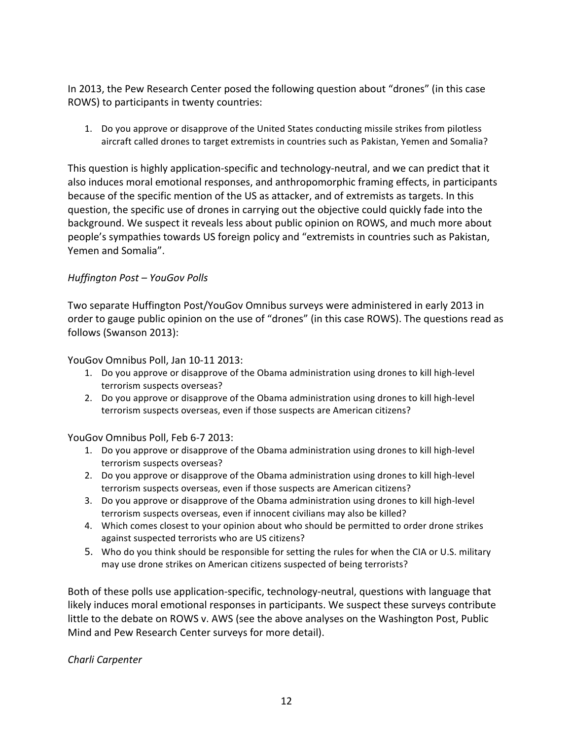In 2013, the Pew Research Center posed the following question about "drones" (in this case ROWS) to participants in twenty countries:

1. Do you approve or disapprove of the United States conducting missile strikes from pilotless aircraft called drones to target extremists in countries such as Pakistan, Yemen and Somalia?

This question is highly application-specific and technology-neutral, and we can predict that it also induces moral emotional responses, and anthropomorphic framing effects, in participants because of the specific mention of the US as attacker, and of extremists as targets. In this question, the specific use of drones in carrying out the objective could quickly fade into the background. We suspect it reveals less about public opinion on ROWS, and much more about people's sympathies towards US foreign policy and "extremists in countries such as Pakistan, Yemen and Somalia".

## *Huffington Post – YouGov Polls*

Two separate Huffington Post/YouGov Omnibus surveys were administered in early 2013 in order to gauge public opinion on the use of "drones" (in this case ROWS). The questions read as follows (Swanson 2013):

YouGov Omnibus Poll, Jan 10-11 2013:

- 1. Do you approve or disapprove of the Obama administration using drones to kill high-level terrorism suspects overseas?
- 2. Do you approve or disapprove of the Obama administration using drones to kill high-level terrorism suspects overseas, even if those suspects are American citizens?

YouGov Omnibus Poll, Feb 6-7 2013:

- 1. Do you approve or disapprove of the Obama administration using drones to kill high-level terrorism suspects overseas?
- 2. Do you approve or disapprove of the Obama administration using drones to kill high-level terrorism suspects overseas, even if those suspects are American citizens?
- 3. Do you approve or disapprove of the Obama administration using drones to kill high-level terrorism suspects overseas, even if innocent civilians may also be killed?
- 4. Which comes closest to your opinion about who should be permitted to order drone strikes against suspected terrorists who are US citizens?
- 5. Who do you think should be responsible for setting the rules for when the CIA or U.S. military may use drone strikes on American citizens suspected of being terrorists?

Both of these polls use application-specific, technology-neutral, questions with language that likely induces moral emotional responses in participants. We suspect these surveys contribute little to the debate on ROWS v. AWS (see the above analyses on the Washington Post, Public Mind and Pew Research Center surveys for more detail).

*Charli Carpenter*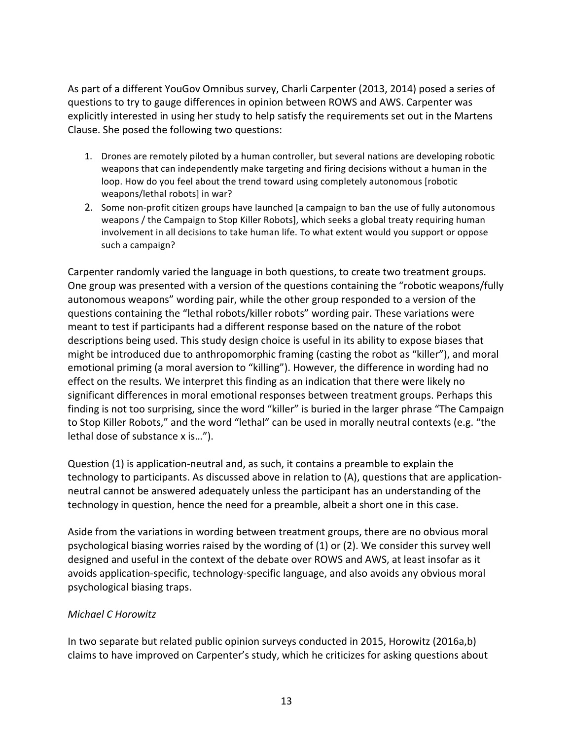As part of a different YouGov Omnibus survey, Charli Carpenter (2013, 2014) posed a series of questions to try to gauge differences in opinion between ROWS and AWS. Carpenter was explicitly interested in using her study to help satisfy the requirements set out in the Martens Clause. She posed the following two questions:

- 1. Drones are remotely piloted by a human controller, but several nations are developing robotic weapons that can independently make targeting and firing decisions without a human in the loop. How do you feel about the trend toward using completely autonomous [robotic weapons/lethal robots] in war?
- 2. Some non-profit citizen groups have launched [a campaign to ban the use of fully autonomous weapons / the Campaign to Stop Killer Robots], which seeks a global treaty requiring human involvement in all decisions to take human life. To what extent would you support or oppose such a campaign?

Carpenter randomly varied the language in both questions, to create two treatment groups. One group was presented with a version of the questions containing the "robotic weapons/fully autonomous weapons" wording pair, while the other group responded to a version of the questions containing the "lethal robots/killer robots" wording pair. These variations were meant to test if participants had a different response based on the nature of the robot descriptions being used. This study design choice is useful in its ability to expose biases that might be introduced due to anthropomorphic framing (casting the robot as "killer"), and moral emotional priming (a moral aversion to "killing"). However, the difference in wording had no effect on the results. We interpret this finding as an indication that there were likely no significant differences in moral emotional responses between treatment groups. Perhaps this finding is not too surprising, since the word "killer" is buried in the larger phrase "The Campaign to Stop Killer Robots," and the word "lethal" can be used in morally neutral contexts (e.g. "the lethal dose of substance x is...").

Question (1) is application-neutral and, as such, it contains a preamble to explain the technology to participants. As discussed above in relation to (A), questions that are applicationneutral cannot be answered adequately unless the participant has an understanding of the technology in question, hence the need for a preamble, albeit a short one in this case.

Aside from the variations in wording between treatment groups, there are no obvious moral psychological biasing worries raised by the wording of  $(1)$  or  $(2)$ . We consider this survey well designed and useful in the context of the debate over ROWS and AWS, at least insofar as it avoids application-specific, technology-specific language, and also avoids any obvious moral psychological biasing traps.

## *Michael C Horowitz*

In two separate but related public opinion surveys conducted in 2015, Horowitz (2016a,b) claims to have improved on Carpenter's study, which he criticizes for asking questions about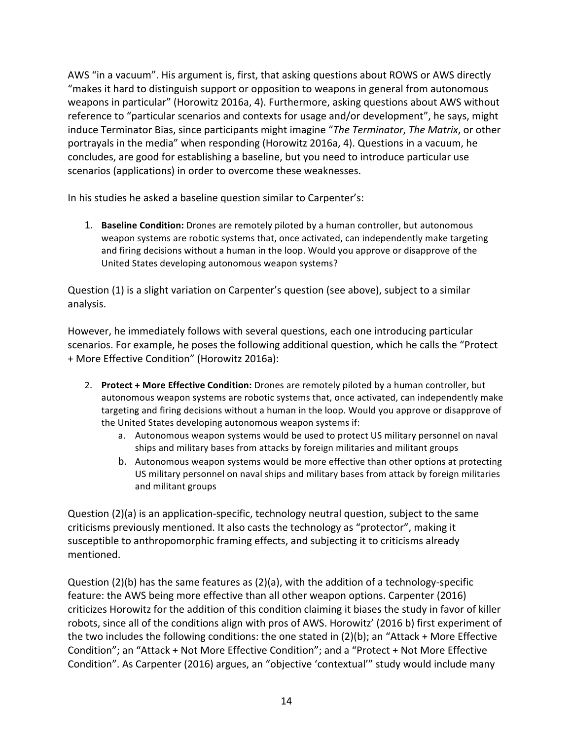AWS "in a vacuum". His argument is, first, that asking questions about ROWS or AWS directly "makes it hard to distinguish support or opposition to weapons in general from autonomous weapons in particular" (Horowitz 2016a, 4). Furthermore, asking questions about AWS without reference to "particular scenarios and contexts for usage and/or development", he says, might induce Terminator Bias, since participants might imagine "*The Terminator*, *The Matrix*, or other portrayals in the media" when responding (Horowitz 2016a, 4). Questions in a vacuum, he concludes, are good for establishing a baseline, but you need to introduce particular use scenarios (applications) in order to overcome these weaknesses.

In his studies he asked a baseline question similar to Carpenter's:

1. **Baseline Condition:** Drones are remotely piloted by a human controller, but autonomous weapon systems are robotic systems that, once activated, can independently make targeting and firing decisions without a human in the loop. Would you approve or disapprove of the United States developing autonomous weapon systems?

Question (1) is a slight variation on Carpenter's question (see above), subject to a similar analysis.

However, he immediately follows with several questions, each one introducing particular scenarios. For example, he poses the following additional question, which he calls the "Protect + More Effective Condition" (Horowitz 2016a):

- 2. **Protect + More Effective Condition:** Drones are remotely piloted by a human controller, but autonomous weapon systems are robotic systems that, once activated, can independently make targeting and firing decisions without a human in the loop. Would you approve or disapprove of the United States developing autonomous weapon systems if:
	- a. Autonomous weapon systems would be used to protect US military personnel on naval ships and military bases from attacks by foreign militaries and militant groups
	- b. Autonomous weapon systems would be more effective than other options at protecting US military personnel on naval ships and military bases from attack by foreign militaries and militant groups

Question (2)(a) is an application-specific, technology neutral question, subject to the same criticisms previously mentioned. It also casts the technology as "protector", making it susceptible to anthropomorphic framing effects, and subjecting it to criticisms already mentioned.

Question  $(2)(b)$  has the same features as  $(2)(a)$ , with the addition of a technology-specific feature: the AWS being more effective than all other weapon options. Carpenter (2016) criticizes Horowitz for the addition of this condition claiming it biases the study in favor of killer robots, since all of the conditions align with pros of AWS. Horowitz' (2016 b) first experiment of the two includes the following conditions: the one stated in  $(2)(b)$ ; an "Attack + More Effective Condition"; an "Attack + Not More Effective Condition"; and a "Protect + Not More Effective Condition". As Carpenter (2016) argues, an "objective 'contextual'" study would include many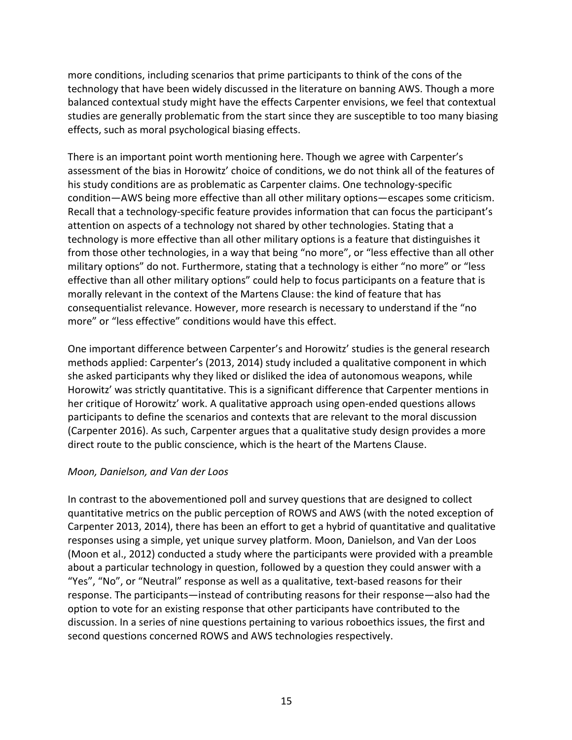more conditions, including scenarios that prime participants to think of the cons of the technology that have been widely discussed in the literature on banning AWS. Though a more balanced contextual study might have the effects Carpenter envisions, we feel that contextual studies are generally problematic from the start since they are susceptible to too many biasing effects, such as moral psychological biasing effects.

There is an important point worth mentioning here. Though we agree with Carpenter's assessment of the bias in Horowitz' choice of conditions, we do not think all of the features of his study conditions are as problematic as Carpenter claims. One technology-specific condition—AWS being more effective than all other military options—escapes some criticism. Recall that a technology-specific feature provides information that can focus the participant's attention on aspects of a technology not shared by other technologies. Stating that a technology is more effective than all other military options is a feature that distinguishes it from those other technologies, in a way that being "no more", or "less effective than all other military options" do not. Furthermore, stating that a technology is either "no more" or "less effective than all other military options" could help to focus participants on a feature that is morally relevant in the context of the Martens Clause: the kind of feature that has consequentialist relevance. However, more research is necessary to understand if the "no more" or "less effective" conditions would have this effect.

One important difference between Carpenter's and Horowitz' studies is the general research methods applied: Carpenter's (2013, 2014) study included a qualitative component in which she asked participants why they liked or disliked the idea of autonomous weapons, while Horowitz' was strictly quantitative. This is a significant difference that Carpenter mentions in her critique of Horowitz' work. A qualitative approach using open-ended questions allows participants to define the scenarios and contexts that are relevant to the moral discussion (Carpenter 2016). As such, Carpenter argues that a qualitative study design provides a more direct route to the public conscience, which is the heart of the Martens Clause.

#### *Moon, Danielson, and Van der Loos*

In contrast to the abovementioned poll and survey questions that are designed to collect quantitative metrics on the public perception of ROWS and AWS (with the noted exception of Carpenter 2013, 2014), there has been an effort to get a hybrid of quantitative and qualitative responses using a simple, yet unique survey platform. Moon, Danielson, and Van der Loos (Moon et al., 2012) conducted a study where the participants were provided with a preamble about a particular technology in question, followed by a question they could answer with a "Yes", "No", or "Neutral" response as well as a qualitative, text-based reasons for their response. The participants—instead of contributing reasons for their response—also had the option to vote for an existing response that other participants have contributed to the discussion. In a series of nine questions pertaining to various roboethics issues, the first and second questions concerned ROWS and AWS technologies respectively.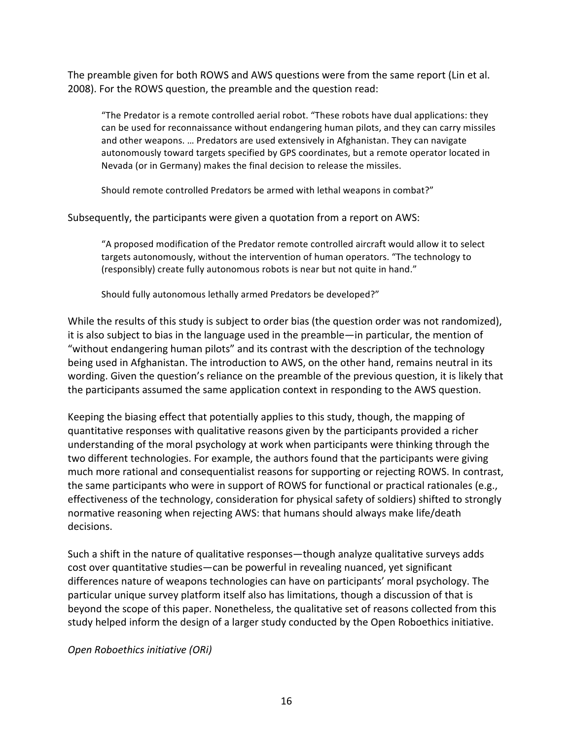The preamble given for both ROWS and AWS questions were from the same report (Lin et al. 2008). For the ROWS question, the preamble and the question read:

"The Predator is a remote controlled aerial robot. "These robots have dual applications: they can be used for reconnaissance without endangering human pilots, and they can carry missiles and other weapons. ... Predators are used extensively in Afghanistan. They can navigate autonomously toward targets specified by GPS coordinates, but a remote operator located in Nevada (or in Germany) makes the final decision to release the missiles.

Should remote controlled Predators be armed with lethal weapons in combat?"

Subsequently, the participants were given a quotation from a report on AWS:

"A proposed modification of the Predator remote controlled aircraft would allow it to select targets autonomously, without the intervention of human operators. "The technology to (responsibly) create fully autonomous robots is near but not quite in hand."

Should fully autonomous lethally armed Predators be developed?"

While the results of this study is subject to order bias (the question order was not randomized), it is also subject to bias in the language used in the preamble—in particular, the mention of "without endangering human pilots" and its contrast with the description of the technology being used in Afghanistan. The introduction to AWS, on the other hand, remains neutral in its wording. Given the question's reliance on the preamble of the previous question, it is likely that the participants assumed the same application context in responding to the AWS question.

Keeping the biasing effect that potentially applies to this study, though, the mapping of quantitative responses with qualitative reasons given by the participants provided a richer understanding of the moral psychology at work when participants were thinking through the two different technologies. For example, the authors found that the participants were giving much more rational and consequentialist reasons for supporting or rejecting ROWS. In contrast, the same participants who were in support of ROWS for functional or practical rationales (e.g., effectiveness of the technology, consideration for physical safety of soldiers) shifted to strongly normative reasoning when rejecting AWS: that humans should always make life/death decisions. 

Such a shift in the nature of qualitative responses—though analyze qualitative surveys adds cost over quantitative studies—can be powerful in revealing nuanced, yet significant differences nature of weapons technologies can have on participants' moral psychology. The particular unique survey platform itself also has limitations, though a discussion of that is beyond the scope of this paper. Nonetheless, the qualitative set of reasons collected from this study helped inform the design of a larger study conducted by the Open Roboethics initiative.

*Open Roboethics initiative (ORi)*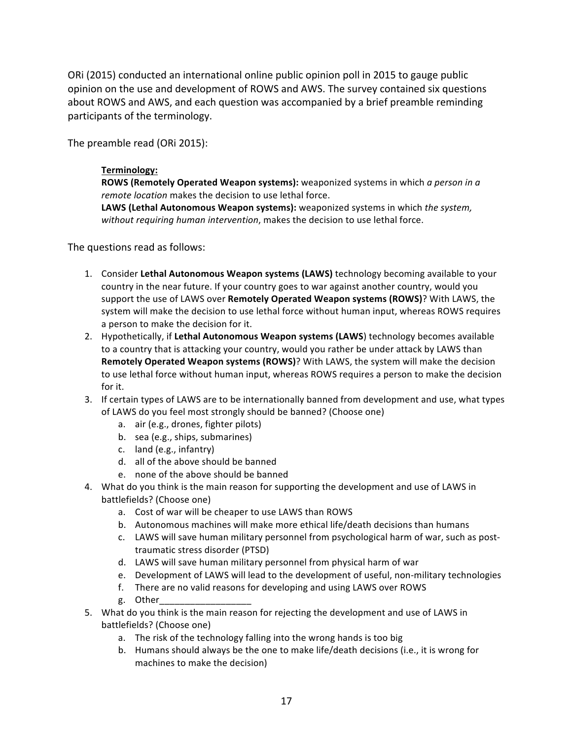ORi (2015) conducted an international online public opinion poll in 2015 to gauge public opinion on the use and development of ROWS and AWS. The survey contained six questions about ROWS and AWS, and each question was accompanied by a brief preamble reminding participants of the terminology.

The preamble read (ORi 2015):

#### **Terminology:**

**ROWS (Remotely Operated Weapon systems):** weaponized systems in which *a person in a remote location* makes the decision to use lethal force.

**LAWS** (Lethal Autonomous Weapon systems): weaponized systems in which the system, *without requiring human intervention*, makes the decision to use lethal force.

The questions read as follows:

- 1. Consider Lethal Autonomous Weapon systems (LAWS) technology becoming available to your country in the near future. If your country goes to war against another country, would you support the use of LAWS over **Remotely Operated Weapon systems (ROWS)**? With LAWS, the system will make the decision to use lethal force without human input, whereas ROWS requires a person to make the decision for it.
- 2. Hypothetically, if Lethal Autonomous Weapon systems (LAWS) technology becomes available to a country that is attacking your country, would you rather be under attack by LAWS than **Remotely Operated Weapon systems (ROWS)?** With LAWS, the system will make the decision to use lethal force without human input, whereas ROWS requires a person to make the decision for it.
- 3. If certain types of LAWS are to be internationally banned from development and use, what types of LAWS do you feel most strongly should be banned? (Choose one)
	- a. air (e.g., drones, fighter pilots)
	- b. sea (e.g., ships, submarines)
	- c. land (e.g., infantry)
	- d. all of the above should be banned
	- e. none of the above should be banned
- 4. What do you think is the main reason for supporting the development and use of LAWS in battlefields? (Choose one)
	- a. Cost of war will be cheaper to use LAWS than ROWS
	- b. Autonomous machines will make more ethical life/death decisions than humans
	- c. LAWS will save human military personnel from psychological harm of war, such as posttraumatic stress disorder (PTSD)
	- d. LAWS will save human military personnel from physical harm of war
	- e. Development of LAWS will lead to the development of useful, non-military technologies
	- f. There are no valid reasons for developing and using LAWS over ROWS
	- g. Other\_\_\_\_\_\_\_\_\_\_\_\_\_\_\_\_\_\_
- 5. What do you think is the main reason for rejecting the development and use of LAWS in battlefields? (Choose one)
	- a. The risk of the technology falling into the wrong hands is too big
	- b. Humans should always be the one to make life/death decisions (i.e., it is wrong for machines to make the decision)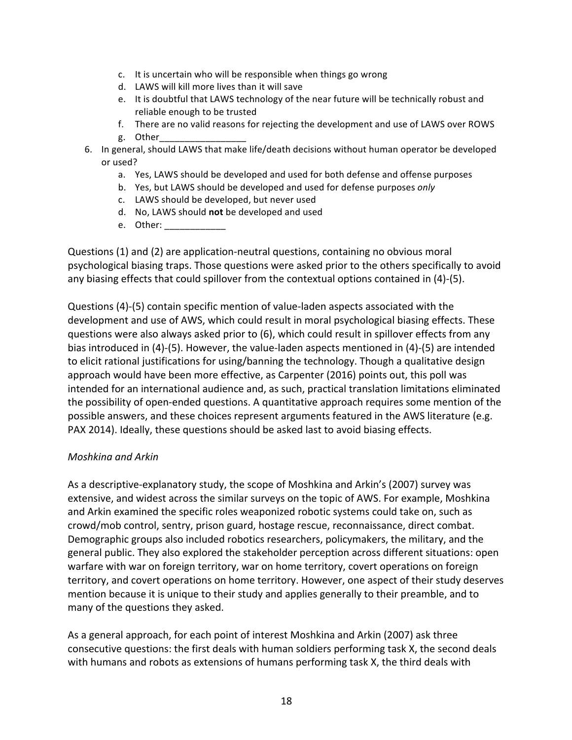- c. It is uncertain who will be responsible when things go wrong
- d. LAWS will kill more lives than it will save
- e. It is doubtful that LAWS technology of the near future will be technically robust and reliable enough to be trusted
- f. There are no valid reasons for rejecting the development and use of LAWS over ROWS
- g. Other\_\_\_\_\_\_\_\_\_\_\_\_\_\_\_\_\_
- 6. In general, should LAWS that make life/death decisions without human operator be developed or used?
	- a. Yes, LAWS should be developed and used for both defense and offense purposes
	- b. Yes, but LAWS should be developed and used for defense purposes only
	- c. LAWS should be developed, but never used
	- d. No, LAWS should not be developed and used
	- e. Other:

Questions (1) and (2) are application-neutral questions, containing no obvious moral psychological biasing traps. Those questions were asked prior to the others specifically to avoid any biasing effects that could spillover from the contextual options contained in  $(4)-(5)$ .

Questions (4)-(5) contain specific mention of value-laden aspects associated with the development and use of AWS, which could result in moral psychological biasing effects. These questions were also always asked prior to (6), which could result in spillover effects from any bias introduced in  $(4)$ -(5). However, the value-laden aspects mentioned in  $(4)$ -(5) are intended to elicit rational justifications for using/banning the technology. Though a qualitative design approach would have been more effective, as Carpenter (2016) points out, this poll was intended for an international audience and, as such, practical translation limitations eliminated the possibility of open-ended questions. A quantitative approach requires some mention of the possible answers, and these choices represent arguments featured in the AWS literature (e.g. PAX 2014). Ideally, these questions should be asked last to avoid biasing effects.

## *Moshkina and Arkin*

As a descriptive-explanatory study, the scope of Moshkina and Arkin's (2007) survey was extensive, and widest across the similar surveys on the topic of AWS. For example, Moshkina and Arkin examined the specific roles weaponized robotic systems could take on, such as crowd/mob control, sentry, prison guard, hostage rescue, reconnaissance, direct combat. Demographic groups also included robotics researchers, policymakers, the military, and the general public. They also explored the stakeholder perception across different situations: open warfare with war on foreign territory, war on home territory, covert operations on foreign territory, and covert operations on home territory. However, one aspect of their study deserves mention because it is unique to their study and applies generally to their preamble, and to many of the questions they asked.

As a general approach, for each point of interest Moshkina and Arkin (2007) ask three consecutive questions: the first deals with human soldiers performing task X, the second deals with humans and robots as extensions of humans performing task X, the third deals with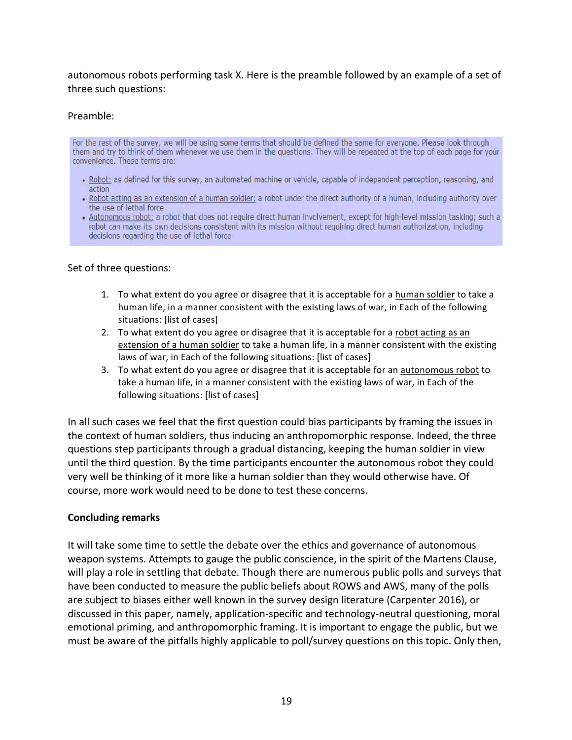autonomous robots performing task X. Here is the preamble followed by an example of a set of three such questions:

#### Preamble:

For the rest of the survey, we will be using some terms that should be defined the same for everyone. Please look through them and try to think of them whenever we use them in the questions. They will be repeated at the top of each page for your convenience. These terms are:

- . Robot: as defined for this survey, an automated machine or vehicle, capable of independent perception, reasoning, and action
- . Robot acting as an extension of a human soldier: a robot under the direct authority of a human, including authority over the use of lethal force
- . Autonomous robot: a robot that does not require direct human involvement, except for high-level mission tasking; such a robot can make its own decisions consistent with its mission without requiring direct human authorization, including decisions regarding the use of lethal force

#### Set of three questions:

- 1. To what extent do you agree or disagree that it is acceptable for a human soldier to take a human life, in a manner consistent with the existing laws of war, in Each of the following situations: [list of cases]
- 2. To what extent do you agree or disagree that it is acceptable for a robot acting as an extension of a human soldier to take a human life, in a manner consistent with the existing laws of war, in Each of the following situations: [list of cases]
- 3. To what extent do you agree or disagree that it is acceptable for an autonomous robot to take a human life, in a manner consistent with the existing laws of war, in Each of the following situations: [list of cases]

In all such cases we feel that the first question could bias participants by framing the issues in the context of human soldiers, thus inducing an anthropomorphic response. Indeed, the three questions step participants through a gradual distancing, keeping the human soldier in view until the third question. By the time participants encounter the autonomous robot they could very well be thinking of it more like a human soldier than they would otherwise have. Of course, more work would need to be done to test these concerns.

#### **Concluding remarks**

It will take some time to settle the debate over the ethics and governance of autonomous weapon systems. Attempts to gauge the public conscience, in the spirit of the Martens Clause, will play a role in settling that debate. Though there are numerous public polls and surveys that have been conducted to measure the public beliefs about ROWS and AWS, many of the polls are subject to biases either well known in the survey design literature (Carpenter 2016), or discussed in this paper, namely, application-specific and technology-neutral questioning, moral emotional priming, and anthropomorphic framing. It is important to engage the public, but we must be aware of the pitfalls highly applicable to poll/survey questions on this topic. Only then,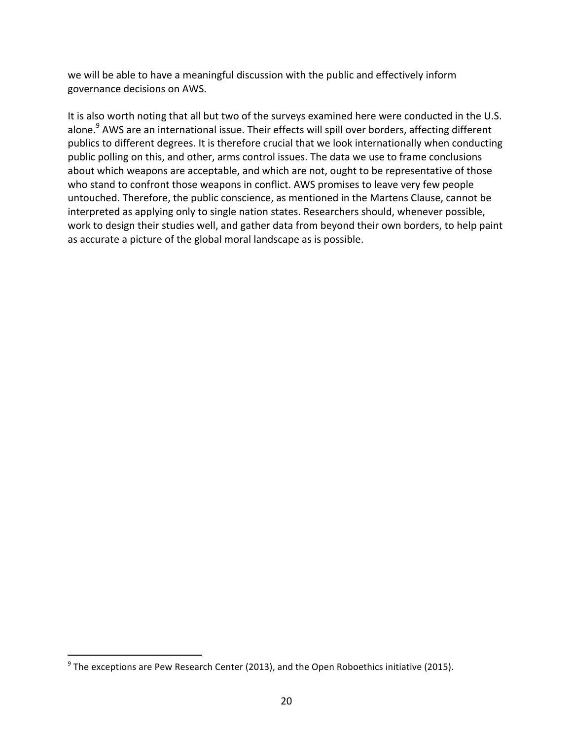we will be able to have a meaningful discussion with the public and effectively inform governance decisions on AWS.

It is also worth noting that all but two of the surveys examined here were conducted in the U.S. alone.<sup>9</sup> AWS are an international issue. Their effects will spill over borders, affecting different publics to different degrees. It is therefore crucial that we look internationally when conducting public polling on this, and other, arms control issues. The data we use to frame conclusions about which weapons are acceptable, and which are not, ought to be representative of those who stand to confront those weapons in conflict. AWS promises to leave very few people untouched. Therefore, the public conscience, as mentioned in the Martens Clause, cannot be interpreted as applying only to single nation states. Researchers should, whenever possible, work to design their studies well, and gather data from beyond their own borders, to help paint as accurate a picture of the global moral landscape as is possible.

 

 $9$  The exceptions are Pew Research Center (2013), and the Open Roboethics initiative (2015).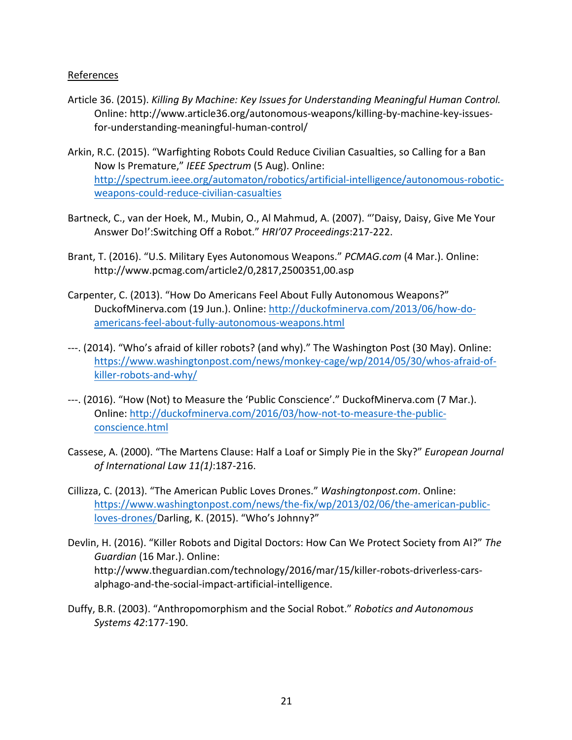#### References

- Article 36. (2015). *Killing By Machine: Key Issues for Understanding Meaningful Human Control.* Online: http://www.article36.org/autonomous-weapons/killing-by-machine-key-issuesfor-understanding-meaningful-human-control/
- Arkin, R.C. (2015). "Warfighting Robots Could Reduce Civilian Casualties, so Calling for a Ban Now Is Premature," IEEE Spectrum (5 Aug). Online: http://spectrum.ieee.org/automaton/robotics/artificial-intelligence/autonomous-roboticweapons-could-reduce-civilian-casualties
- Bartneck, C., van der Hoek, M., Mubin, O., Al Mahmud, A. (2007). "'Daisy, Daisy, Give Me Your Answer Do!':Switching Off a Robot." HRI'07 Proceedings:217-222.
- Brant, T. (2016). "U.S. Military Eyes Autonomous Weapons." *PCMAG.com* (4 Mar.). Online: http://www.pcmag.com/article2/0,2817,2500351,00.asp
- Carpenter, C. (2013). "How Do Americans Feel About Fully Autonomous Weapons?" DuckofMinerva.com (19 Jun.). Online: http://duckofminerva.com/2013/06/how-doamericans-feel-about-fully-autonomous-weapons.html
- ---. (2014). "Who's afraid of killer robots? (and why)." The Washington Post (30 May). Online: https://www.washingtonpost.com/news/monkey-cage/wp/2014/05/30/whos-afraid-ofkiller-robots-and-why/
- ---. (2016). "How (Not) to Measure the 'Public Conscience'." DuckofMinerva.com (7 Mar.). Online: http://duckofminerva.com/2016/03/how-not-to-measure-the-publicconscience.html
- Cassese, A. (2000). "The Martens Clause: Half a Loaf or Simply Pie in the Sky?" *European Journal of International Law 11(1)*:187-216.
- Cillizza, C. (2013). "The American Public Loves Drones." *Washingtonpost.com*. Online: https://www.washingtonpost.com/news/the-fix/wp/2013/02/06/the-american-publicloves-drones/Darling, K. (2015). "Who's Johnny?"
- Devlin, H. (2016). "Killer Robots and Digital Doctors: How Can We Protect Society from AI?" The Guardian (16 Mar.). Online: http://www.theguardian.com/technology/2016/mar/15/killer-robots-driverless-carsalphago-and-the-social-impact-artificial-intelligence.
- Duffy, B.R. (2003). "Anthropomorphism and the Social Robot." *Robotics and Autonomous Systems 42*:177-190.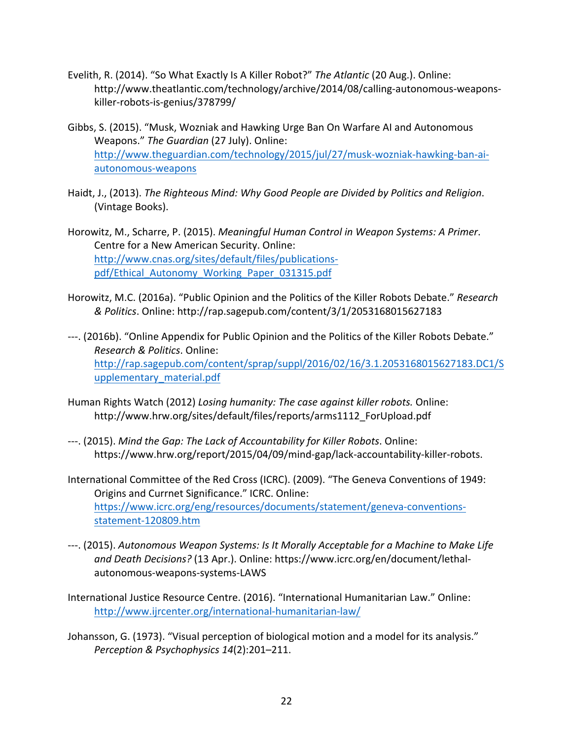- Evelith, R. (2014). "So What Exactly Is A Killer Robot?" *The Atlantic* (20 Aug.). Online: http://www.theatlantic.com/technology/archive/2014/08/calling-autonomous-weaponskiller-robots-is-genius/378799/
- Gibbs, S. (2015). "Musk, Wozniak and Hawking Urge Ban On Warfare AI and Autonomous Weapons." The Guardian (27 July). Online: http://www.theguardian.com/technology/2015/jul/27/musk-wozniak-hawking-ban-aiautonomous-weapons
- Haidt, J., (2013). *The Righteous Mind: Why Good People are Divided by Politics and Religion.* (Vintage Books).
- Horowitz, M., Scharre, P. (2015). *Meaningful Human Control in Weapon Systems: A Primer.* Centre for a New American Security. Online: http://www.cnas.org/sites/default/files/publicationspdf/Ethical\_Autonomy\_Working\_Paper\_031315.pdf
- Horowitz, M.C. (2016a). "Public Opinion and the Politics of the Killer Robots Debate." Research *& Politics*. Online: http://rap.sagepub.com/content/3/1/2053168015627183
- ---. (2016b). "Online Appendix for Public Opinion and the Politics of the Killer Robots Debate." *Research & Politics*. Online: http://rap.sagepub.com/content/sprap/suppl/2016/02/16/3.1.2053168015627183.DC1/S upplementary\_material.pdf
- Human Rights Watch (2012) *Losing humanity: The case against killer robots.* Online: http://www.hrw.org/sites/default/files/reports/arms1112\_ForUpload.pdf
- ---. (2015). *Mind the Gap: The Lack of Accountability for Killer Robots*. Online: https://www.hrw.org/report/2015/04/09/mind-gap/lack-accountability-killer-robots.
- International Committee of the Red Cross (ICRC). (2009). "The Geneva Conventions of 1949: Origins and Currnet Significance." ICRC. Online: https://www.icrc.org/eng/resources/documents/statement/geneva-conventionsstatement-120809.htm
- ---. (2015). Autonomous Weapon Systems: Is It Morally Acceptable for a Machine to Make Life *and Death Decisions?* (13 Apr.). Online: https://www.icrc.org/en/document/lethalautonomous-weapons-systems-LAWS
- International Justice Resource Centre. (2016). "International Humanitarian Law." Online: http://www.ijrcenter.org/international-humanitarian-law/
- Johansson, G. (1973). "Visual perception of biological motion and a model for its analysis." *Perception & Psychophysics 14*(2):201–211.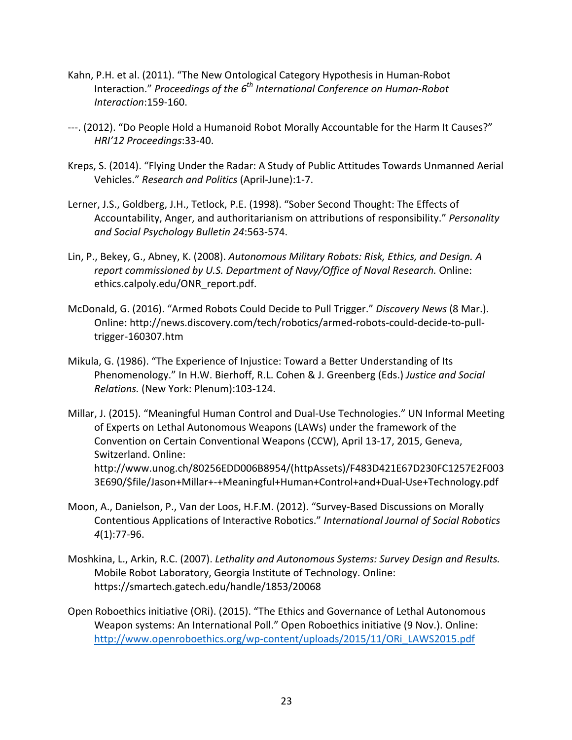- Kahn, P.H. et al. (2011). "The New Ontological Category Hypothesis in Human-Robot Interaction." Proceedings of the 6<sup>th</sup> International Conference on Human-Robot *Interaction*:159-160.
- ---. (2012). "Do People Hold a Humanoid Robot Morally Accountable for the Harm It Causes?" *HRI'12 Proceedings*:33-40.
- Kreps, S. (2014). "Flying Under the Radar: A Study of Public Attitudes Towards Unmanned Aerial Vehicles." *Research and Politics* (April-June):1-7.
- Lerner, J.S., Goldberg, J.H., Tetlock, P.E. (1998). "Sober Second Thought: The Effects of Accountability, Anger, and authoritarianism on attributions of responsibility." Personality *and Social Psychology Bulletin 24*:563-574.
- Lin, P., Bekey, G., Abney, K. (2008). Autonomous Military Robots: Risk, Ethics, and Design. A report commissioned by U.S. Department of Navy/Office of Naval Research. Online: ethics.calpoly.edu/ONR\_report.pdf.
- McDonald, G. (2016). "Armed Robots Could Decide to Pull Trigger." *Discovery News* (8 Mar.). Online: http://news.discovery.com/tech/robotics/armed-robots-could-decide-to-pulltrigger-160307.htm
- Mikula, G. (1986). "The Experience of Injustice: Toward a Better Understanding of Its Phenomenology." In H.W. Bierhoff, R.L. Cohen & J. Greenberg (Eds.) Justice and Social *Relations.* (New York: Plenum):103-124.
- Millar, J. (2015). "Meaningful Human Control and Dual-Use Technologies." UN Informal Meeting of Experts on Lethal Autonomous Weapons (LAWs) under the framework of the Convention on Certain Conventional Weapons (CCW), April 13-17, 2015, Geneva, Switzerland. Online: http://www.unog.ch/80256EDD006B8954/(httpAssets)/F483D421E67D230FC1257E2F003 3E690/\$file/Jason+Millar+-+Meaningful+Human+Control+and+Dual-Use+Technology.pdf
- Moon, A., Danielson, P., Van der Loos, H.F.M. (2012). "Survey-Based Discussions on Morally Contentious Applications of Interactive Robotics." *International Journal of Social Robotics 4*(1):77-96.
- Moshkina, L., Arkin, R.C. (2007). *Lethality and Autonomous Systems: Survey Design and Results.* Mobile Robot Laboratory, Georgia Institute of Technology. Online: https://smartech.gatech.edu/handle/1853/20068
- Open Roboethics initiative (ORi). (2015). "The Ethics and Governance of Lethal Autonomous Weapon systems: An International Poll." Open Roboethics initiative (9 Nov.). Online: http://www.openroboethics.org/wp-content/uploads/2015/11/ORi\_LAWS2015.pdf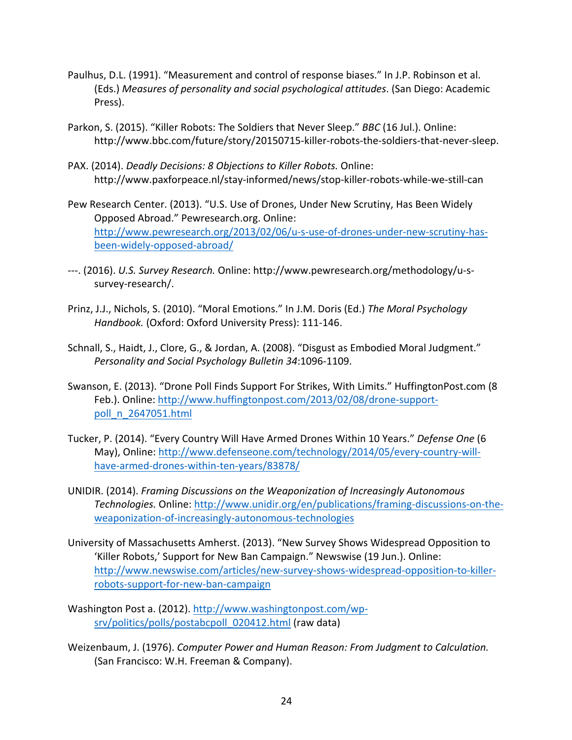- Paulhus, D.L. (1991). "Measurement and control of response biases." In J.P. Robinson et al. (Eds.) *Measures of personality and social psychological attitudes*. (San Diego: Academic Press).
- Parkon, S. (2015). "Killer Robots: The Soldiers that Never Sleep." *BBC* (16 Jul.). Online: http://www.bbc.com/future/story/20150715-killer-robots-the-soldiers-that-never-sleep.
- PAX. (2014). *Deadly Decisions: 8 Objections to Killer Robots. Online:* http://www.paxforpeace.nl/stay-informed/news/stop-killer-robots-while-we-still-can
- Pew Research Center. (2013). "U.S. Use of Drones, Under New Scrutiny, Has Been Widely Opposed Abroad." Pewresearch.org. Online: http://www.pewresearch.org/2013/02/06/u-s-use-of-drones-under-new-scrutiny-hasbeen-widely-opposed-abroad/
- ---. (2016). U.S. Survey Research. Online: http://www.pewresearch.org/methodology/u-ssurvey-research/.
- Prinz, J.J., Nichols, S. (2010). "Moral Emotions." In J.M. Doris (Ed.) The Moral Psychology Handbook. (Oxford: Oxford University Press): 111-146.
- Schnall, S., Haidt, J., Clore, G., & Jordan, A. (2008). "Disgust as Embodied Moral Judgment." *Personality and Social Psychology Bulletin 34*:1096-1109.
- Swanson, E. (2013). "Drone Poll Finds Support For Strikes, With Limits." HuffingtonPost.com (8) Feb.). Online: http://www.huffingtonpost.com/2013/02/08/drone-supportpoll\_n\_2647051.html
- Tucker, P. (2014). "Every Country Will Have Armed Drones Within 10 Years." Defense One (6 May), Online: http://www.defenseone.com/technology/2014/05/every-country-willhave-armed-drones-within-ten-years/83878/
- UNIDIR. (2014). *Framing Discussions on the Weaponization of Increasingly Autonomous Technologies.* Online: http://www.unidir.org/en/publications/framing-discussions-on-theweaponization-of-increasingly-autonomous-technologies
- University of Massachusetts Amherst. (2013). "New Survey Shows Widespread Opposition to 'Killer Robots,' Support for New Ban Campaign." Newswise (19 Jun.). Online: http://www.newswise.com/articles/new-survey-shows-widespread-opposition-to-killerrobots-support-for-new-ban-campaign
- Washington Post a. (2012). http://www.washingtonpost.com/wpsrv/politics/polls/postabcpoll\_020412.html (raw data)
- Weizenbaum, J. (1976). Computer Power and Human Reason: From Judgment to Calculation. (San Francisco: W.H. Freeman & Company).